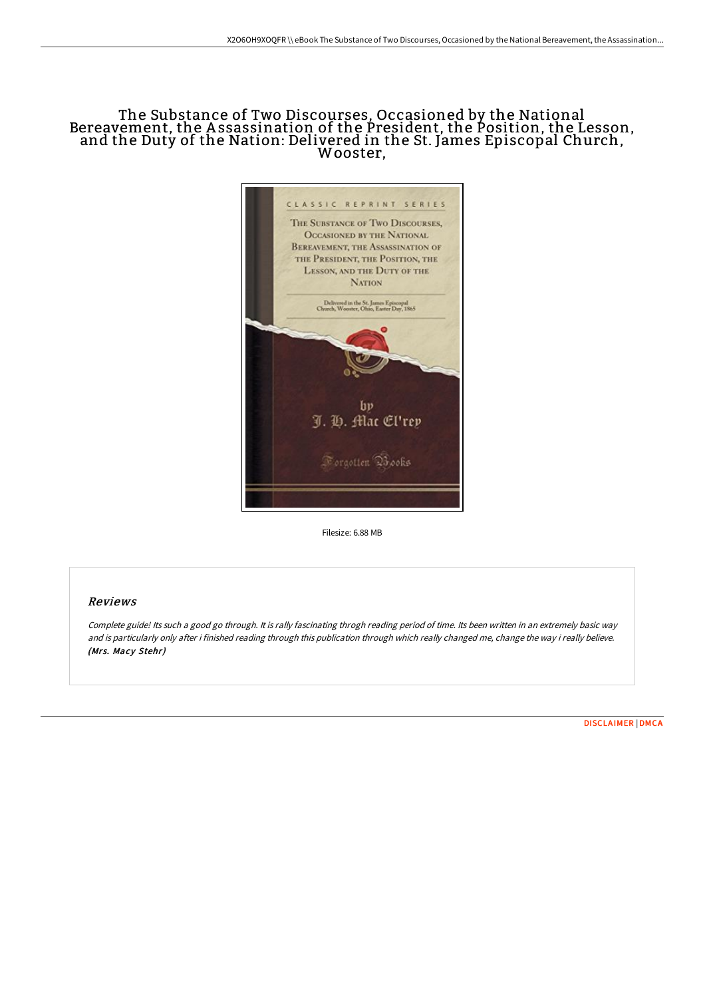# The Substance of Two Discourses, Occasioned by the National Bereavement, the A ssassination of the President, the Position, the Lesson, and the Duty of the Nation: Delivered in the St. James Episcopal Church, Wooster,



Filesize: 6.88 MB

### Reviews

Complete guide! Its such <sup>a</sup> good go through. It is rally fascinating throgh reading period of time. Its been written in an extremely basic way and is particularly only after i finished reading through this publication through which really changed me, change the way i really believe. (Mrs. Macy Stehr)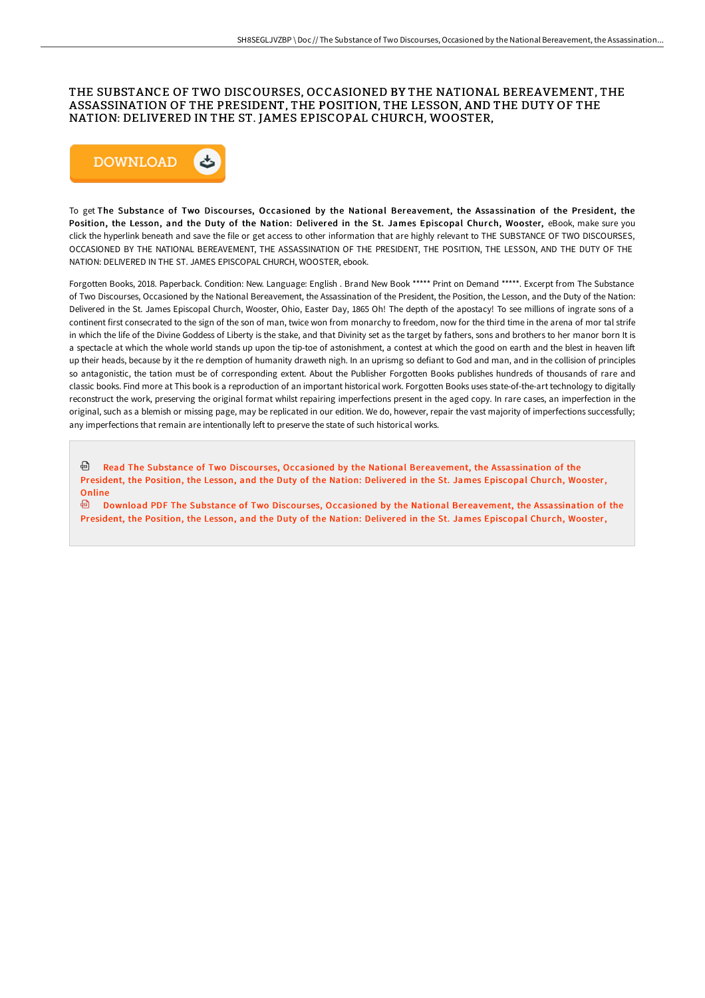### THE SUBSTANCE OF TWO DISCOURSES, OCCASIONED BY THE NATIONAL BEREAVEMENT, THE ASSASSINATION OF THE PRESIDENT, THE POSITION, THE LESSON, AND THE DUTY OF THE NATION: DELIVERED IN THE ST. JAMES EPISCOPAL CHURCH, WOOSTER,



To get The Substance of Two Discourses, Occasioned by the National Bereavement, the Assassination of the President, the Position, the Lesson, and the Duty of the Nation: Delivered in the St. James Episcopal Church, Wooster, eBook, make sure you click the hyperlink beneath and save the file or get access to other information that are highly relevant to THE SUBSTANCE OF TWO DISCOURSES, OCCASIONED BY THE NATIONAL BEREAVEMENT, THE ASSASSINATION OF THE PRESIDENT, THE POSITION, THE LESSON, AND THE DUTY OF THE NATION: DELIVERED IN THE ST. JAMES EPISCOPAL CHURCH, WOOSTER, ebook.

Forgotten Books, 2018. Paperback. Condition: New. Language: English . Brand New Book \*\*\*\*\* Print on Demand \*\*\*\*\*. Excerpt from The Substance of Two Discourses, Occasioned by the National Bereavement, the Assassination of the President, the Position, the Lesson, and the Duty of the Nation: Delivered in the St. James Episcopal Church, Wooster, Ohio, Easter Day, 1865 Oh! The depth of the apostacy! To see millions of ingrate sons of a continent first consecrated to the sign of the son of man, twice won from monarchy to freedom, now for the third time in the arena of mor tal strife in which the life of the Divine Goddess of Liberty is the stake, and that Divinity set as the target by fathers, sons and brothers to her manor born It is a spectacle at which the whole world stands up upon the tip-toe of astonishment, a contest at which the good on earth and the blest in heaven lift up their heads, because by it the re demption of humanity draweth nigh. In an uprismg so defiant to God and man, and in the collision of principles so antagonistic, the tation must be of corresponding extent. About the Publisher Forgotten Books publishes hundreds of thousands of rare and classic books. Find more at This book is a reproduction of an important historical work. Forgotten Books uses state-of-the-art technology to digitally reconstruct the work, preserving the original format whilst repairing imperfections present in the aged copy. In rare cases, an imperfection in the original, such as a blemish or missing page, may be replicated in our edition. We do, however, repair the vast majority of imperfections successfully; any imperfections that remain are intentionally left to preserve the state of such historical works.

<sup>回</sup> Read The Substance of Two Discourses, Occasioned by the National [Bereavement,](http://bookera.tech/the-substance-of-two-discourses-occasioned-by-th-1.html) the Assassination of the President, the Position, the Lesson, and the Duty of the Nation: Delivered in the St. James Episcopal Church, Wooster, Online

 $\blacksquare$ Download PDF The Substance of Two Discourses, Occasioned by the National [Bereavement,](http://bookera.tech/the-substance-of-two-discourses-occasioned-by-th-1.html) the Assassination of the President, the Position, the Lesson, and the Duty of the Nation: Delivered in the St. James Episcopal Church, Wooster,